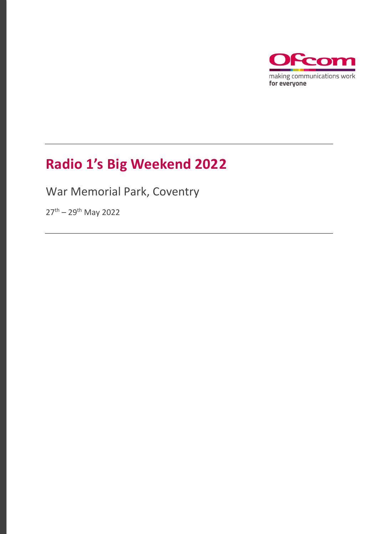

# **Radio 1's Big Weekend 2022**

War Memorial Park, Coventry

27th – 29th May 2022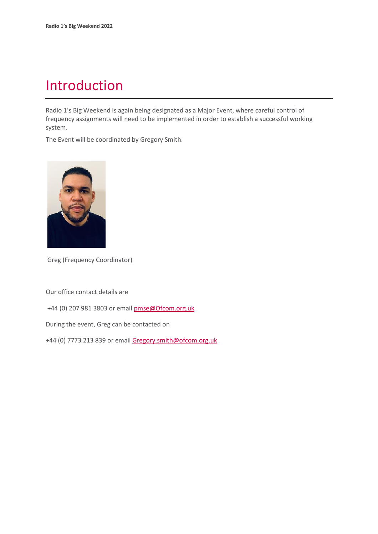## Introduction

Radio 1's Big Weekend is again being designated as a Major Event, where careful control of frequency assignments will need to be implemented in order to establish a successful working system.

The Event will be coordinated by Gregory Smith.



Greg (Frequency Coordinator)

Our office contact details are

+44 (0) 207 981 3803 or email **pmse@Ofcom.org.uk** 

During the event, Greg can be contacted on

+44 (0) 7773 213 839 or email Gregory.smith@ofcom.org.uk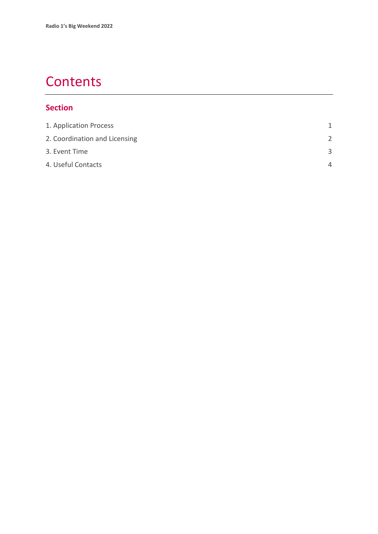# **Contents**

### **Section**

| 1. Application Process        |               |
|-------------------------------|---------------|
| 2. Coordination and Licensing | $\mathcal{P}$ |
| 3. Event Time                 | 3             |
| 4. Useful Contacts            | $\Delta$      |
|                               |               |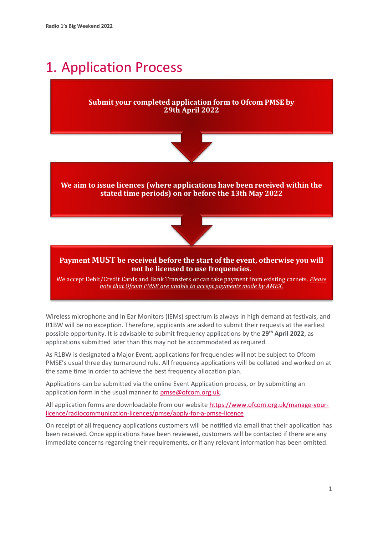# <span id="page-3-0"></span>1. Application Process

### **Submit your completed application form to Ofcom PMSE by 29th April 2022**



**We aim to issue licences (where applications have been received within the stated time periods) on or before the 13th May 2022**



#### **Payment MUST be received before the start of the event, otherwise you will not be licensed to use frequencies.**

We accept Debit/Credit Cards and Bank Transfers or can take payment from existing carnets. *Please note that Ofcom PMSE are unable to accept payments made by AMEX.*

Wireless microphone and In Ear Monitors (IEMs) spectrum is always in high demand at festivals, and R1BW will be no exception. Therefore, applicants are asked to submit their requests at the earliest possible opportunity. It is advisable to submit frequency applications by the **29 th April 2022**, as applications submitted later than this may not be accommodated as required.

As R1BW is designated a Major Event, applications for frequencies will not be subject to Ofcom PMSE's usual three day turnaround rule. All frequency applications will be collated and worked on at the same time in order to achieve the best frequency allocation plan.

Applications can be submitted via the online Event Application process, or by submitting an application form in the usual manner to [pmse@ofcom.org.uk.](mailto:pmse@ofcom.org.uk)

All application forms are downloadable from our websit[e https://www.ofcom.org.uk/manage-your](https://www.ofcom.org.uk/manage-your-licence/radiocommunication-licences/pmse/apply-for-a-pmse-licence)[licence/radiocommunication-licences/pmse/apply-for-a-pmse-licence](https://www.ofcom.org.uk/manage-your-licence/radiocommunication-licences/pmse/apply-for-a-pmse-licence)

On receipt of all frequency applications customers will be notified via email that their application has been received. Once applications have been reviewed, customers will be contacted if there are any immediate concerns regarding their requirements, or if any relevant information has been omitted.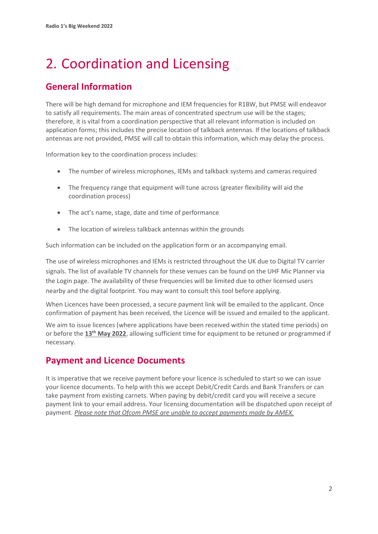# <span id="page-4-0"></span>2. Coordination and Licensing

## **General Information**

There will be high demand for microphone and IEM frequencies for R1BW, but PMSE will endeavor to satisfy all requirements. The main areas of concentrated spectrum use will be the stages; therefore, it is vital from a coordination perspective that all relevant information is included on application forms; this includes the precise location of talkback antennas. If the locations of talkback antennas are not provided, PMSE will call to obtain this information, which may delay the process.

Information key to the coordination process includes:

- The number of wireless microphones, IEMs and talkback systems and cameras required
- The frequency range that equipment will tune across (greater flexibility will aid the coordination process)
- The act's name, stage, date and time of performance
- The location of wireless talkback antennas within the grounds

Such information can be included on the application form or an accompanying email.

The use of wireless microphones and IEMs is restricted throughout the UK due to Digital TV carrier signals. The list of available TV channels for these venues can be found on the UHF Mic Planner via the Login page. The availability of these frequencies will be limited due to other licensed users nearby and the digital footprint. You may want to consult this tool before applying.

When Licences have been processed, a secure payment link will be emailed to the applicant. Once confirmation of payment has been received, the Licence will be issued and emailed to the applicant.

We aim to issue licences (where applications have been received within the stated time periods) on or before the **13th May 2022**, allowing sufficient time for equipment to be retuned or programmed if necessary.

### **Payment and Licence Documents**

It is imperative that we receive payment before your licence is scheduled to start so we can issue your licence documents. To help with this we accept Debit/Credit Cards and Bank Transfers or can take payment from existing carnets. When paying by debit/credit card you will receive a secure payment link to your email address. Your licensing documentation will be dispatched upon receipt of payment. *Please note that Ofcom PMSE are unable to accept payments made by AMEX.*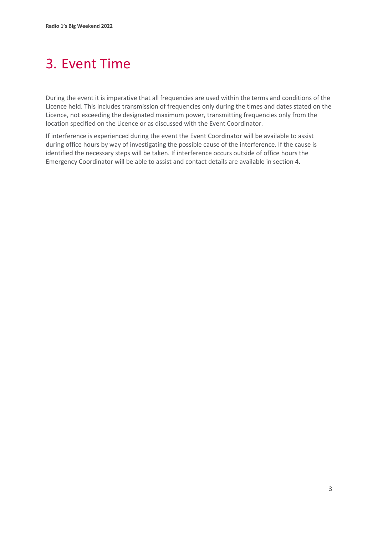# <span id="page-5-0"></span>3. Event Time

During the event it is imperative that all frequencies are used within the terms and conditions of the Licence held. This includes transmission of frequencies only during the times and dates stated on the Licence, not exceeding the designated maximum power, transmitting frequencies only from the location specified on the Licence or as discussed with the Event Coordinator.

If interference is experienced during the event the Event Coordinator will be available to assist during office hours by way of investigating the possible cause of the interference. If the cause is identified the necessary steps will be taken. If interference occurs outside of office hours the Emergency Coordinator will be able to assist and contact details are available in section 4.